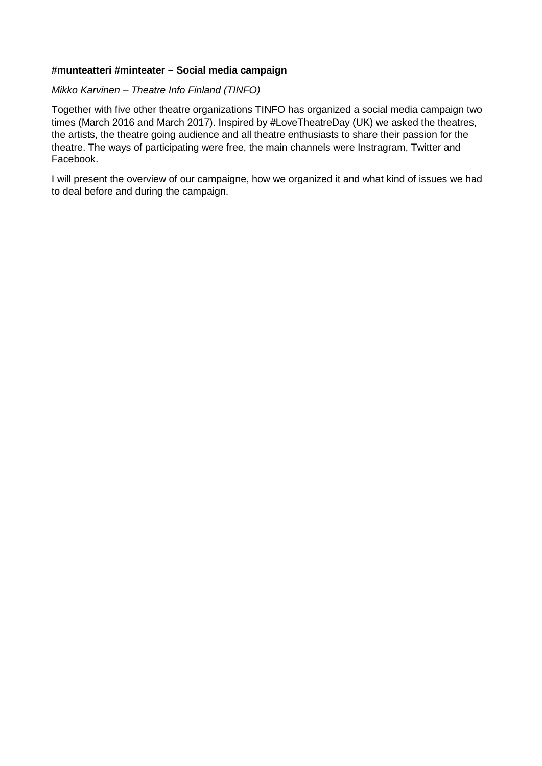#### **#munteatteri #minteater – Social media campaign**

#### *Mikko Karvinen – Theatre Info Finland (TINFO)*

Together with five other theatre organizations TINFO has organized a social media campaign two times (March 2016 and March 2017). Inspired by #LoveTheatreDay (UK) we asked the theatres, the artists, the theatre going audience and all theatre enthusiasts to share their passion for the theatre. The ways of participating were free, the main channels were Instragram, Twitter and Facebook.

I will present the overview of our campaigne, how we organized it and what kind of issues we had to deal before and during the campaign.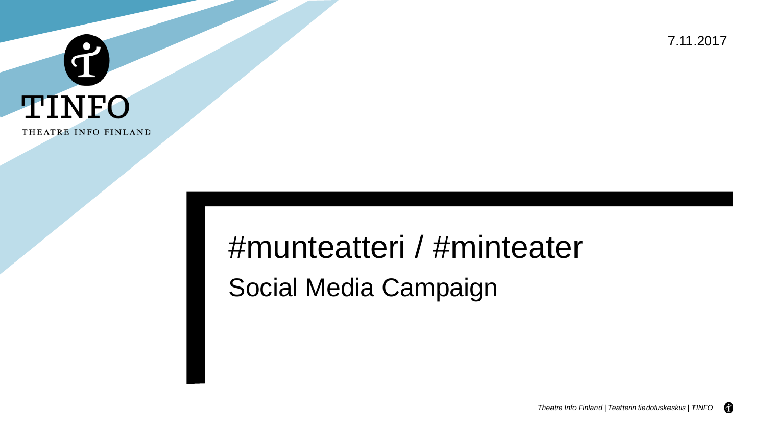7.11.2017



# #munteatteri / #minteater Social Media Campaign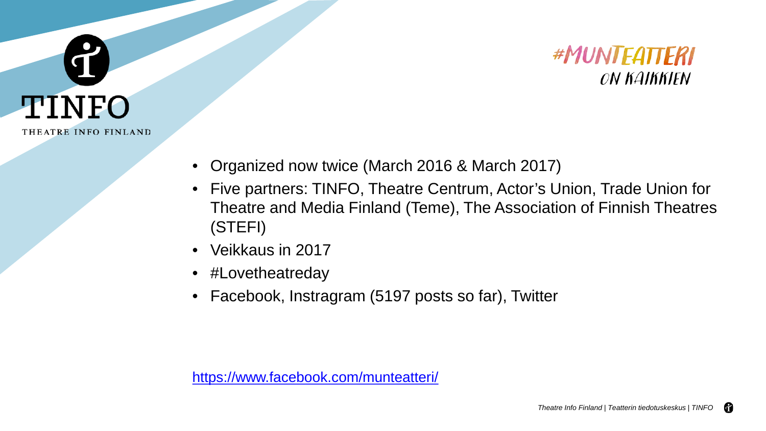



- Organized now twice (March 2016 & March 2017)
- Five partners: TINFO, Theatre Centrum, Actor's Union, Trade Union for Theatre and Media Finland (Teme), The Association of Finnish Theatres (STEFI)
- Veikkaus in 2017
- #Lovetheatreday
- Facebook, Instragram (5197 posts so far), Twitter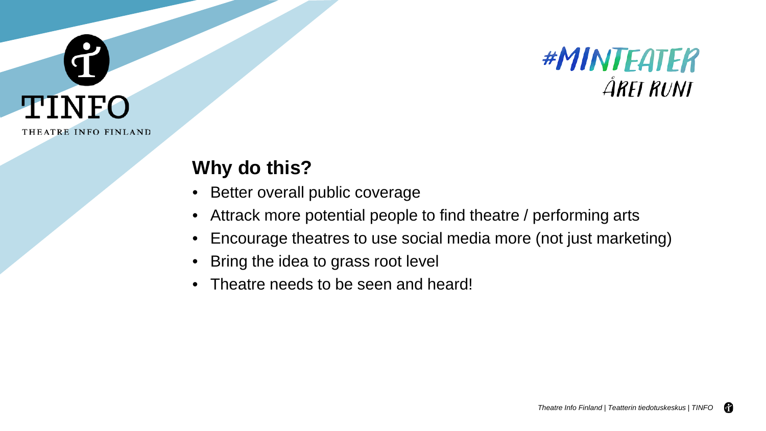



### **Why do this?**

- Better overall public coverage
- Attrack more potential people to find theatre / performing arts
- Encourage theatres to use social media more (not just marketing)
- Bring the idea to grass root level
- Theatre needs to be seen and heard!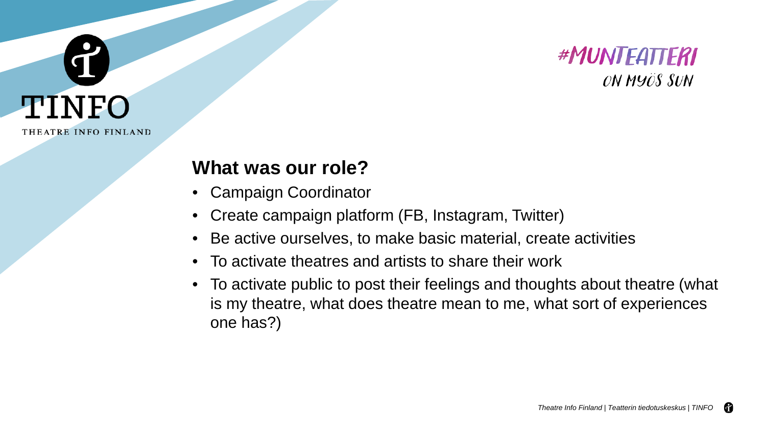



#### **What was our role?**

- Campaign Coordinator
- Create campaign platform (FB, Instagram, Twitter)
- Be active ourselves, to make basic material, create activities
- To activate theatres and artists to share their work
- To activate public to post their feelings and thoughts about theatre (what is my theatre, what does theatre mean to me, what sort of experiences one has?)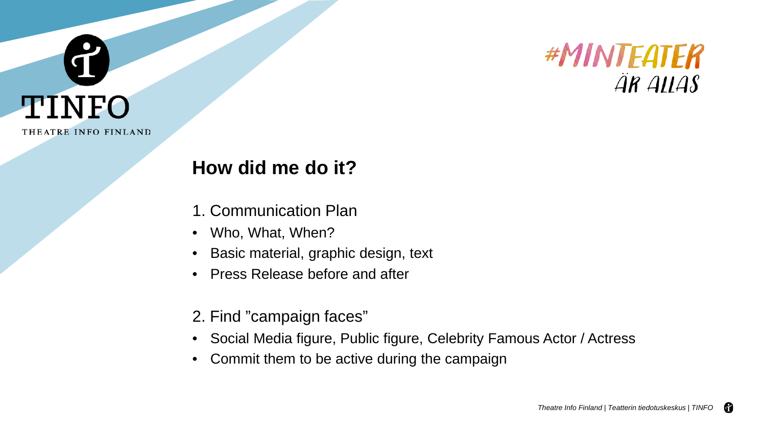



- 1. Communication Plan
- Who, What, When?
- Basic material, graphic design, text
- Press Release before and after
- 2. Find "campaign faces"
- Social Media figure, Public figure, Celebrity Famous Actor / Actress
- Commit them to be active during the campaign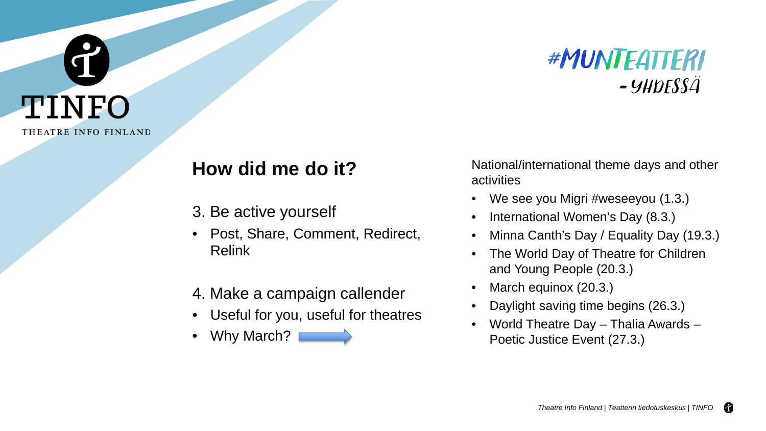

- 3. Be active yourself
- Post, Share, Comment, Redirect, Relink
- 4. Make a campaign callender
- Useful for you, useful for theatres
- Why March?

#MUNTEATTERI  $= 9HDESSA$ 

National/international theme days and other activities

- We see you Migri #weseeyou (1.3.)
- International Women's Day (8.3.)
- Minna Canth's Day / Equality Day (19.3.)
- The World Day of Theatre for Children and Young People (20.3.)
- March equinox (20.3.)
- Daylight saving time begins (26.3.)
- World Theatre Day Thalia Awards Poetic Justice Event (27.3.)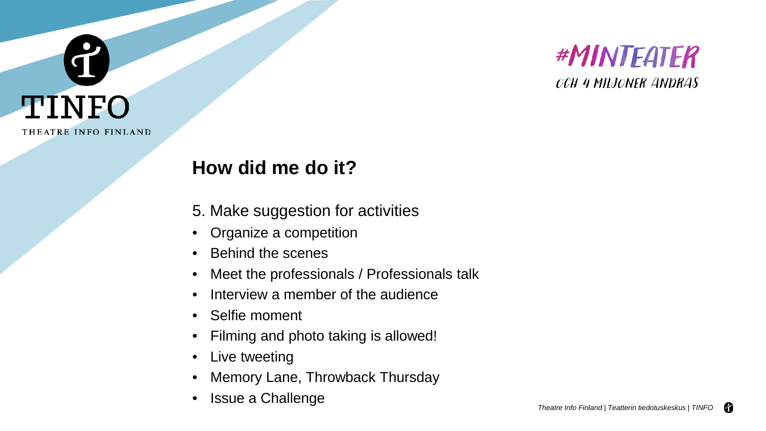



- 5. Make suggestion for activities
- Organize a competition
- Behind the scenes
- Meet the professionals / Professionals talk
- Interview a member of the audience
- Selfie moment
- Filming and photo taking is allowed!
- Live tweeting
- Memory Lane, Throwback Thursday
- Issue a Challenge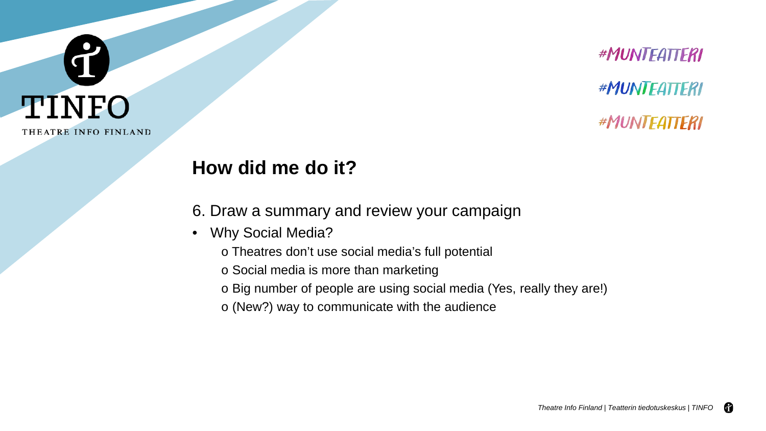

#MUNTEATTERI #MUNTEATTERI #MUNTEATTERI

### **How did me do it?**

- 6. Draw a summary and review your campaign
- Why Social Media?
	- o Theatres don't use social media's full potential
	- o Social media is more than marketing
	- o Big number of people are using social media (Yes, really they are!)
	- o (New?) way to communicate with the audience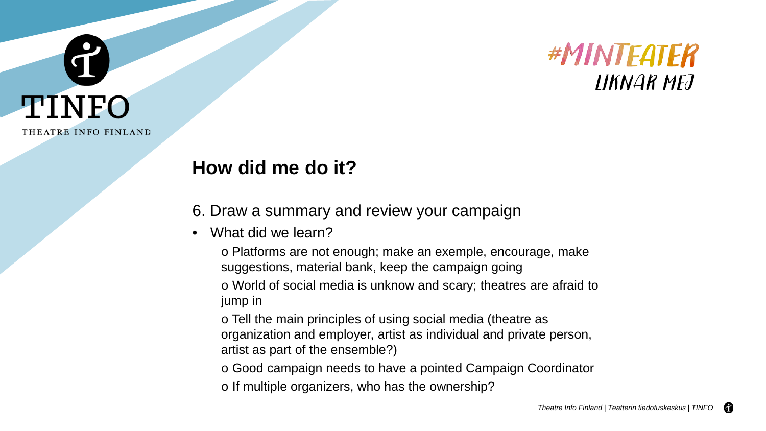



- 6. Draw a summary and review your campaign
- What did we learn?
	- o Platforms are not enough; make an exemple, encourage, make suggestions, material bank, keep the campaign going

o World of social media is unknow and scary; theatres are afraid to jump in

o Tell the main principles of using social media (theatre as organization and employer, artist as individual and private person, artist as part of the ensemble?)

- o Good campaign needs to have a pointed Campaign Coordinator
- o If multiple organizers, who has the ownership?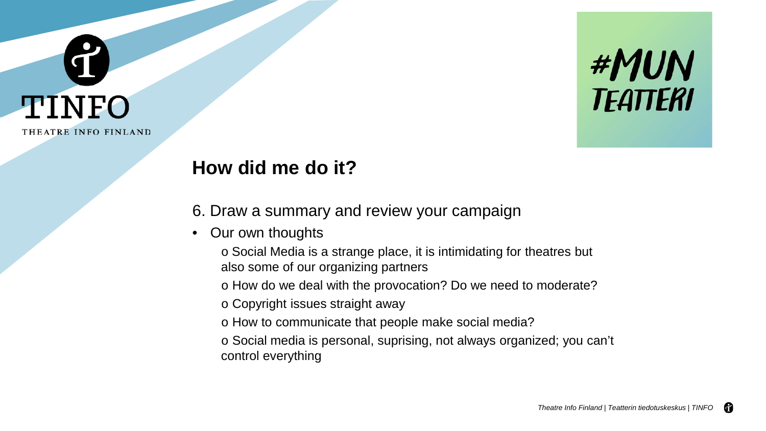

## TINFO THEATRE INFO FINLAND

I

### **How did me do it?**

6. Draw a summary and review your campaign

- Our own thoughts
	- o Social Media is a strange place, it is intimidating for theatres but also some of our organizing partners

o How do we deal with the provocation? Do we need to moderate?

- o Copyright issues straight away
- o How to communicate that people make social media?
- o Social media is personal, suprising, not always organized; you can't control everything